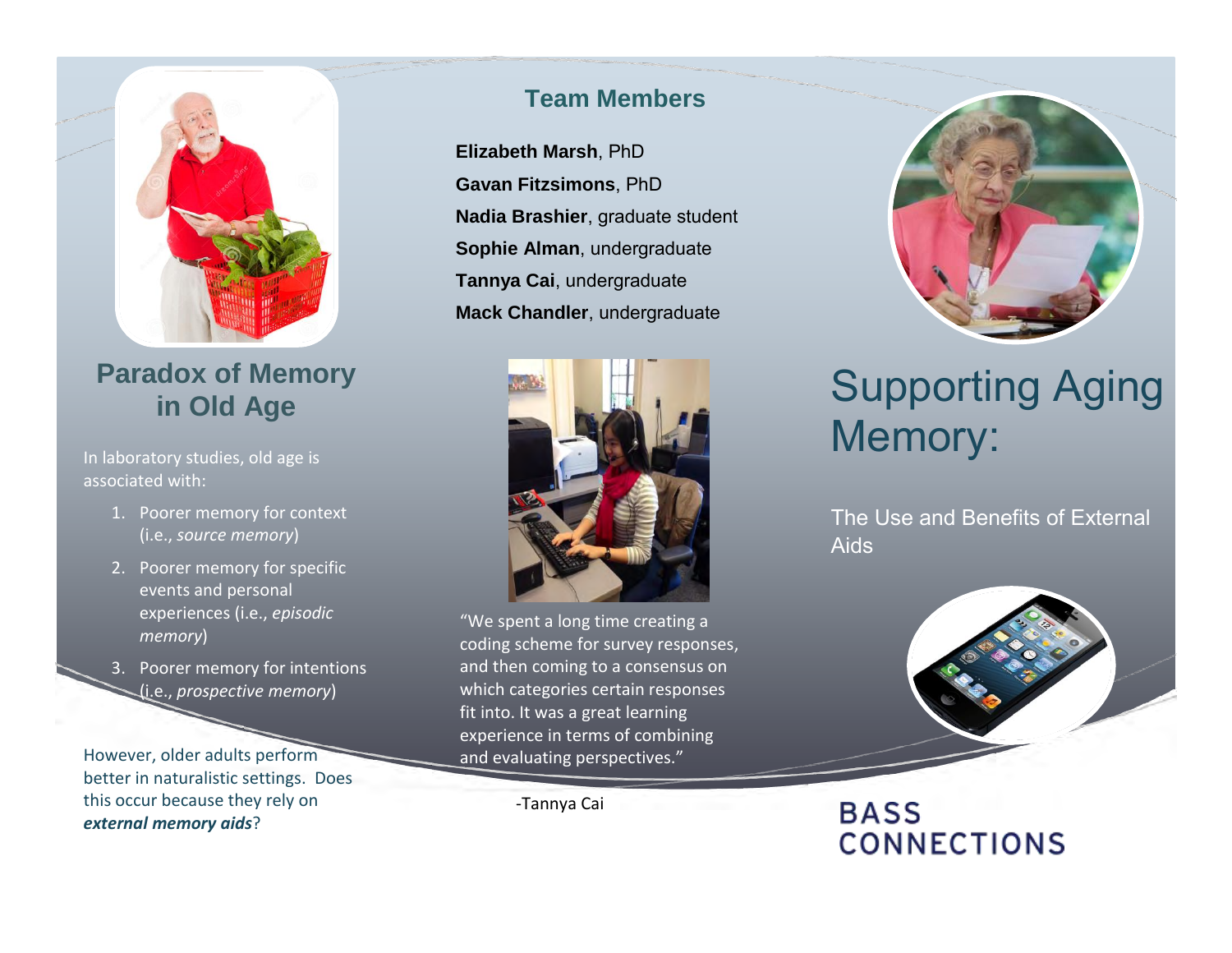

# **Paradox of Memory in Old Age**

In laboratory studies, old age is associated with:

- 1. Poorer memory for context (i.e., *source memory*)
- 2. Poorer memory for specific events and personal experiences (i.e., *episodic memory*)
- 3. Poorer memory for intentions (i.e., *prospective memory*)

However, older adults perform better in naturalistic settings. Does this occur because they rely on *external memory aids*?

#### **Team Members**

**Elizabeth Marsh**, PhD **Gavan Fitzsimons**, PhD **Nadia Brashier**, graduate student **Sophie Alman**, undergraduate **Tannya Cai**, undergraduate **Mack Chandler**, undergraduate



"We spent a long time creating a coding scheme for survey responses, and then coming to a consensus on which categories certain responses fit into. It was a great learning experience in terms of combining and evaluating perspectives."

-Tannya Cai



# Supporting Aging Memory:

The Use and Benefits of External Aids



# **BASS CONNECTIONS**